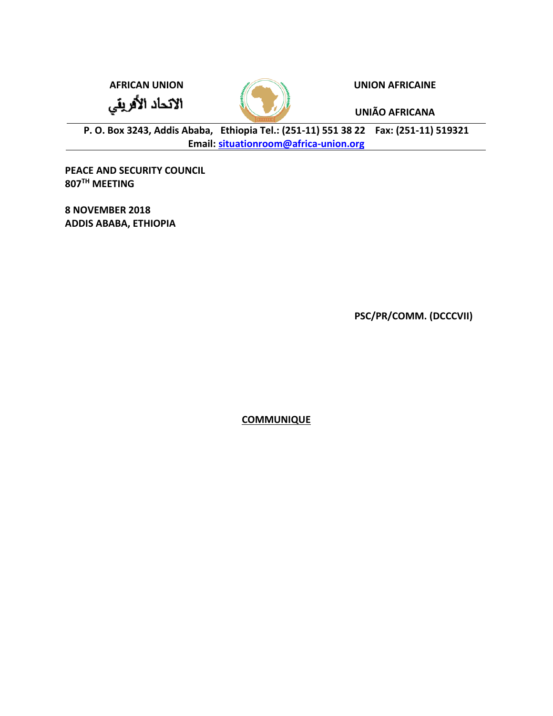الاتحاد الأفريقي



**AFRICAN UNION UNION AFRICAINE**

**UNIÃO AFRICANA**

**P. O. Box 3243, Addis Ababa, Ethiopia Tel.: (251-11) 551 38 22 Fax: (251-11) 519321 Email: [situationroom@africa-union.org](mailto:situationroom@africa-union.org)**

**PEACE AND SECURITY COUNCIL 807TH MEETING** 

**8 NOVEMBER 2018 ADDIS ABABA, ETHIOPIA**

**PSC/PR/COMM. (DCCCVII)**

**COMMUNIQUE**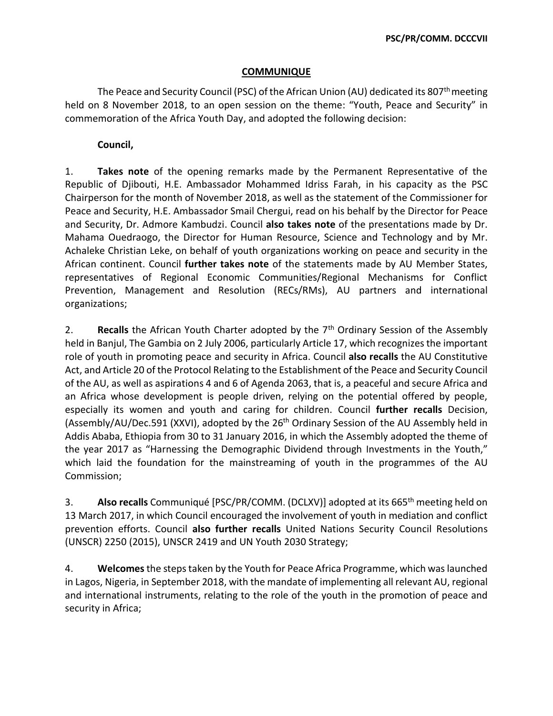## **COMMUNIQUE**

The Peace and Security Council (PSC) of the African Union (AU) dedicated its 807<sup>th</sup> meeting held on 8 November 2018, to an open session on the theme: "Youth, Peace and Security" in commemoration of the Africa Youth Day, and adopted the following decision:

## **Council,**

1. **Takes note** of the opening remarks made by the Permanent Representative of the Republic of Djibouti, H.E. Ambassador Mohammed Idriss Farah, in his capacity as the PSC Chairperson for the month of November 2018, as well as the statement of the Commissioner for Peace and Security, H.E. Ambassador Smail Chergui, read on his behalf by the Director for Peace and Security, Dr. Admore Kambudzi. Council **also takes note** of the presentations made by Dr. Mahama Ouedraogo, the Director for Human Resource, Science and Technology and by Mr. Achaleke Christian Leke, on behalf of youth organizations working on peace and security in the African continent. Council **further takes note** of the statements made by AU Member States, representatives of Regional Economic Communities/Regional Mechanisms for Conflict Prevention, Management and Resolution (RECs/RMs), AU partners and international organizations;

2. **Recalls** the African Youth Charter adopted by the 7<sup>th</sup> Ordinary Session of the Assembly held in Banjul, The Gambia on 2 July 2006, particularly Article 17, which recognizes the important role of youth in promoting peace and security in Africa. Council **also recalls** the AU Constitutive Act, and Article 20 of the Protocol Relating to the Establishment of the Peace and Security Council of the AU, as well as aspirations 4 and 6 of Agenda 2063, that is, a peaceful and secure Africa and an Africa whose development is people driven, relying on the potential offered by people, especially its women and youth and caring for children. Council **further recalls** Decision, (Assembly/AU/Dec.591 (XXVI), adopted by the 26<sup>th</sup> Ordinary Session of the AU Assembly held in Addis Ababa, Ethiopia from 30 to 31 January 2016, in which the Assembly adopted the theme of the year 2017 as "Harnessing the Demographic Dividend through Investments in the Youth," which laid the foundation for the mainstreaming of youth in the programmes of the AU Commission;

3. **Also recalls** Communiqué [PSC/PR/COMM. (DCLXV)] adopted at its 665th meeting held on 13 March 2017, in which Council encouraged the involvement of youth in mediation and conflict prevention efforts. Council **also further recalls** United Nations Security Council Resolutions (UNSCR) 2250 (2015), UNSCR 2419 and UN Youth 2030 Strategy;

4. **Welcomes**the steps taken by the Youth for Peace Africa Programme, which was launched in Lagos, Nigeria, in September 2018, with the mandate of implementing all relevant AU, regional and international instruments, relating to the role of the youth in the promotion of peace and security in Africa;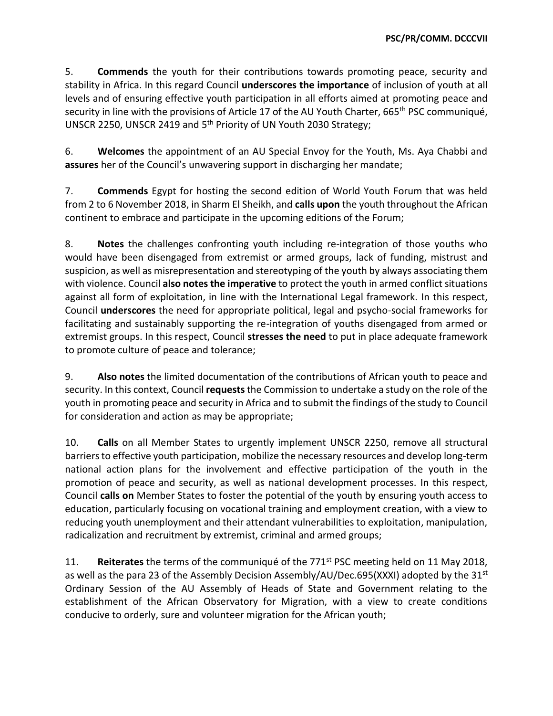5. **Commends** the youth for their contributions towards promoting peace, security and stability in Africa. In this regard Council **underscores the importance** of inclusion of youth at all levels and of ensuring effective youth participation in all efforts aimed at promoting peace and security in line with the provisions of Article 17 of the AU Youth Charter, 665<sup>th</sup> PSC communiqué, UNSCR 2250, UNSCR 2419 and 5th Priority of UN Youth 2030 Strategy;

6. **Welcomes** the appointment of an AU Special Envoy for the Youth, Ms. Aya Chabbi and **assures** her of the Council's unwavering support in discharging her mandate;

7. **Commends** Egypt for hosting the second edition of World Youth Forum that was held from 2 to 6 November 2018, in Sharm El Sheikh, and **calls upon** the youth throughout the African continent to embrace and participate in the upcoming editions of the Forum;

8. **Notes** the challenges confronting youth including re-integration of those youths who would have been disengaged from extremist or armed groups, lack of funding, mistrust and suspicion, as well as misrepresentation and stereotyping of the youth by always associating them with violence. Council **also notes the imperative** to protect the youth in armed conflict situations against all form of exploitation, in line with the International Legal framework. In this respect, Council **underscores** the need for appropriate political, legal and psycho-social frameworks for facilitating and sustainably supporting the re-integration of youths disengaged from armed or extremist groups. In this respect, Council **stresses the need** to put in place adequate framework to promote culture of peace and tolerance;

9. **Also notes** the limited documentation of the contributions of African youth to peace and security. In this context, Council **requests** the Commission to undertake a study on the role of the youth in promoting peace and security in Africa and to submit the findings of the study to Council for consideration and action as may be appropriate;

10. **Calls** on all Member States to urgently implement UNSCR 2250, remove all structural barriers to effective youth participation, mobilize the necessary resources and develop long-term national action plans for the involvement and effective participation of the youth in the promotion of peace and security, as well as national development processes. In this respect, Council **calls on** Member States to foster the potential of the youth by ensuring youth access to education, particularly focusing on vocational training and employment creation, with a view to reducing youth unemployment and their attendant vulnerabilities to exploitation, manipulation, radicalization and recruitment by extremist, criminal and armed groups;

11. **Reiterates** the terms of the communiqué of the 771st PSC meeting held on 11 May 2018, as well as the para 23 of the Assembly Decision Assembly/AU/Dec.695(XXXI) adopted by the 31<sup>st</sup> Ordinary Session of the AU Assembly of Heads of State and Government relating to the establishment of the African Observatory for Migration, with a view to create conditions conducive to orderly, sure and volunteer migration for the African youth;